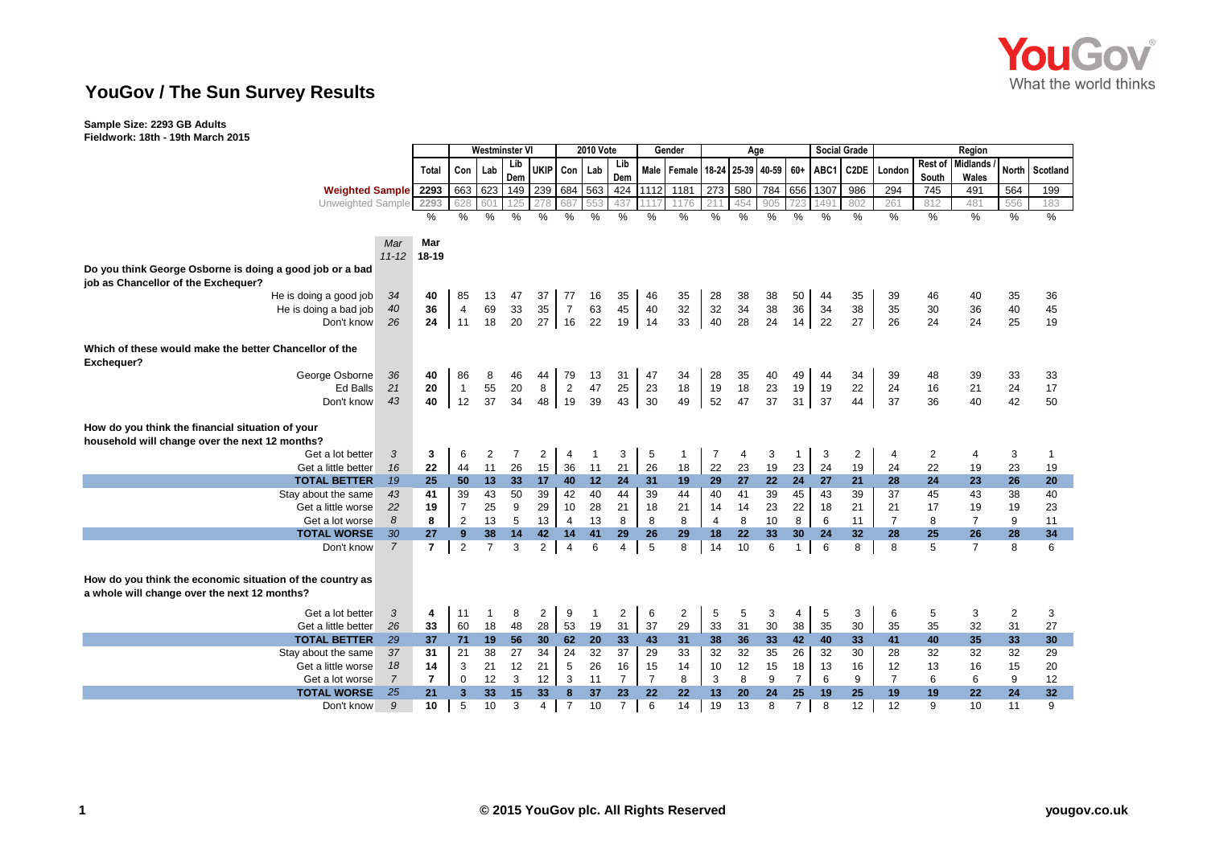

## **YouGov / The Sun Survey Results**

**Sample Size: 2293 GB Adults Fieldwork: 18th - 19th March 2015**

| 1901 MAD 911 49 IV                                        |                             |                | Westminster VI       |                |          |                | <b>2010 Vote</b>     |          |                |                | Gender                                             |                |          | Age             |                |          | <b>Social Grade</b> | Region         |                |                 |                |          |
|-----------------------------------------------------------|-----------------------------|----------------|----------------------|----------------|----------|----------------|----------------------|----------|----------------|----------------|----------------------------------------------------|----------------|----------|-----------------|----------------|----------|---------------------|----------------|----------------|-----------------|----------------|----------|
|                                                           |                             |                | Con                  |                | Lib      | <b>UKIP</b>    | Con                  |          | Lib            |                | Male   Female   18-24   25-39   40-59   60+   ABC1 |                |          |                 |                |          |                     | C2DE London    | Rest of        | <b>Midlands</b> | <b>North</b>   |          |
|                                                           |                             | Total          |                      | Lab            | Dem      |                |                      | Lab      | Dem            |                |                                                    |                |          |                 |                |          |                     |                | South          | Wales           |                | Scotland |
|                                                           | Weighted Sample 2293        |                | 663                  | 623            | 149 239  |                | 684                  | 563      | 424            |                | 1112 1181                                          | 273            | 580      | 784 656 1307    |                |          | 986                 | 294            | 745            | 491             | 564            | 199      |
|                                                           | Unweighted Sample           | 2293           | 628                  | 601            | 125      | 278            | 687                  | 553      | 437            |                | 1176                                               | 211            |          | 905             |                | 1491     | 802                 | 261            | 812            | 481             | 556            | 183      |
|                                                           |                             | $\%$           | %                    | %              | %        | %              | $\%$                 | $\%$     | %              | $\%$           | $\frac{0}{0}$                                      | $\%$           | %        | $\%$            | %              | %        | %                   | $\%$           | $\frac{0}{0}$  | $\%$            | %              | $\%$     |
|                                                           |                             |                |                      |                |          |                |                      |          |                |                |                                                    |                |          |                 |                |          |                     |                |                |                 |                |          |
|                                                           | Mar                         | Mar            |                      |                |          |                |                      |          |                |                |                                                    |                |          |                 |                |          |                     |                |                |                 |                |          |
|                                                           | $11 - 12$                   | 18-19          |                      |                |          |                |                      |          |                |                |                                                    |                |          |                 |                |          |                     |                |                |                 |                |          |
| Do you think George Osborne is doing a good job or a bad  |                             |                |                      |                |          |                |                      |          |                |                |                                                    |                |          |                 |                |          |                     |                |                |                 |                |          |
| job as Chancellor of the Exchequer?                       |                             |                |                      |                |          |                |                      |          |                |                |                                                    |                |          |                 |                |          |                     |                |                |                 |                |          |
| He is doing a good job                                    | 34                          | 40             | 85                   | 13             | 47       | 37             | 77                   | 16       | 35             | 46             | 35                                                 | 28             | 38       | 38              | 50             | 44       | 35                  | 39             | 46             | 40              | 35             | 36       |
| He is doing a bad job                                     | 40                          | 36             | $\overline{4}$       | 69             | 33       | 35             | $\overline{7}$       | 63       | 45             | 40             | 32                                                 | 32             | 34       | 38              | 36             | 34       | 38                  | 35             | 30             | 36              | 40             | 45       |
| Don't know                                                | 26                          | 24             | 11                   | 18             | 20       | 27             | 16                   | 22       | 19             | 14             | 33                                                 | 40             | 28       | 24              | 14             | 22       | 27                  | 26             | 24             | 24              | 25             | 19       |
|                                                           |                             |                |                      |                |          |                |                      |          |                |                |                                                    |                |          |                 |                |          |                     |                |                |                 |                |          |
| Which of these would make the better Chancellor of the    |                             |                |                      |                |          |                |                      |          |                |                |                                                    |                |          |                 |                |          |                     |                |                |                 |                |          |
| Exchequer?<br>George Osborne                              |                             | 40             |                      |                |          |                |                      |          |                | 47             |                                                    |                |          |                 |                |          |                     |                |                |                 |                |          |
|                                                           | 36<br><b>Ed Balls</b><br>21 | 20             | 86                   | 8<br>55        | 46<br>20 | 44<br>8        | 79                   | 13<br>47 | 31<br>25       | 23             | 34<br>18                                           | 28<br>19       | 35<br>18 | 40<br>23        | 49<br>19       | 44<br>19 | 34<br>22            | 39<br>24       | 48<br>16       | 39              | 33<br>24       | 33       |
| Don't know                                                | 43                          | 40             | $\overline{1}$<br>12 | 37             | 34       | 48             | $\overline{2}$<br>19 | 39       | 43             | 30             | 49                                                 | 52             | 47       | 37              | 31             | 37       | 44                  | 37             | 36             | 21<br>40        | 42             | 17<br>50 |
|                                                           |                             |                |                      |                |          |                |                      |          |                |                |                                                    |                |          |                 |                |          |                     |                |                |                 |                |          |
| How do you think the financial situation of your          |                             |                |                      |                |          |                |                      |          |                |                |                                                    |                |          |                 |                |          |                     |                |                |                 |                |          |
| household will change over the next 12 months?            |                             |                |                      |                |          |                |                      |          |                |                |                                                    |                |          |                 |                |          |                     |                |                |                 |                |          |
| Get a lot better                                          | 3                           | 3              | 6                    | 2              | 7        | $\overline{2}$ | $\overline{4}$       |          | 3              | 5              | $\overline{1}$                                     | 7              | 4        | 3               | 1              | 3        | $\overline{2}$      | 4              | $\overline{2}$ | 4               | 3              |          |
| Get a little better                                       | 16                          | 22             | 44                   | 11             | 26       | 15             | 36                   | 11       | 21             | 26             | 18                                                 | 22             | 23       | 19              | 23             | 24       | 19                  | 24             | 22             | 19              | 23             | 19       |
| <b>TOTAL BETTER</b>                                       | 19                          | 25             | 50                   | 13             | 33       | 17             | 40                   | 12       | 24             | 31             | 19                                                 | 29             | 27       | 22              | 24             | 27       | 21                  | 28             | 24             | 23              | 26             | 20       |
| Stay about the same                                       | 43                          | 41             | 39                   | 43             | 50       | 39             | 42                   | 40       | 44             | 39             | 44                                                 | 40             | 41       | 39              | 45             | 43       | 39                  | 37             | 45             | 43              | 38             | 40       |
| Get a little worse                                        | 22                          | 19             | $\overline{7}$       | 25             | 9        | 29             | 10                   | 28       | 21             | 18             | 21                                                 | 14             | 14       | 23              | 22             | 18       | 21                  | 21             | 17             | 19              | 19             | 23       |
| Get a lot worse                                           | 8                           | 8              | $\overline{2}$       | 13             | 5        | 13             | $\overline{4}$       | 13       | 8              | 8              | 8                                                  | $\overline{4}$ | 8        | 10              | 8              | 6        | 11                  | $\overline{7}$ | 8              | $\overline{7}$  | 9              | 11       |
| <b>TOTAL WORSE</b>                                        | 30                          | 27             | 9                    | 38             | 14       | 42             | 14                   | 41       | 29             | 26             | 29                                                 | 18             | 22       | 33              | 30             | 24       | 32                  | 28             | 25             | 26              | 28             | 34       |
| Don't know                                                | $\overline{7}$              | $\overline{7}$ | 2                    | $\overline{7}$ | 3        | $\overline{2}$ | $\overline{4}$       | 6        | $\overline{4}$ | 5              | 8                                                  | 14             | 10       | 6               | $\mathbf{1}$   | 6        | 8                   | 8              | 5              | $\overline{7}$  | 8              | 6        |
|                                                           |                             |                |                      |                |          |                |                      |          |                |                |                                                    |                |          |                 |                |          |                     |                |                |                 |                |          |
|                                                           |                             |                |                      |                |          |                |                      |          |                |                |                                                    |                |          |                 |                |          |                     |                |                |                 |                |          |
| How do you think the economic situation of the country as |                             |                |                      |                |          |                |                      |          |                |                |                                                    |                |          |                 |                |          |                     |                |                |                 |                |          |
| a whole will change over the next 12 months?              |                             |                |                      |                |          |                |                      |          |                |                |                                                    |                |          |                 |                |          |                     |                |                |                 |                |          |
| Get a lot better                                          | 3                           | 4              | 11                   | $\mathbf{1}$   | 8        | $\overline{2}$ | 9                    | 1        | $\overline{2}$ | 6              | 2                                                  | 5              | 5        | 3               | 4              | 5        | 3                   | 6              | 5              | 3               | $\overline{2}$ | 3        |
| Get a little better                                       | 26                          | 33             | 60                   | 18             | 48       | 28             | 53                   | 19       | 31             | 37             | 29                                                 | 33             | 31       | 30              | 38             | 35       | 30                  | 35             | 35             | 32              | 31             | 27       |
| <b>TOTAL BETTER</b>                                       | 29                          | 37             | 71                   | 19             | 56       | 30             | 62                   | 20       | 33             | 43             | 31                                                 | 38             | 36       | 33 <sup>1</sup> | 42             | 40       | 33                  | 41             | 40             | 35              | 33             | 30       |
| Stay about the same                                       | 37                          | 31             | 21                   | 38             | 27       | 34             | 24                   | 32       | 37             | 29             | 33                                                 | 32             | 32       | 35              | 26             | 32       | 30                  | 28             | 32             | 32              | 32             | 29       |
| Get a little worse                                        | 18                          | 14             | 3                    | 21             | 12       | 21             | 5                    | 26       | 16             | 15             | 14                                                 | 10             | 12       | 15              | 18             | 13       | 16                  | 12             | 13             | 16              | 15             | 20       |
| Get a lot worse                                           | $\overline{7}$              | $\overline{7}$ | $\mathbf 0$          | 12             | 3        | 12             | 3                    | 11       | $\overline{7}$ | $\overline{7}$ | 8                                                  | 3              | 8        | 9               | $\overline{7}$ | 6        | 9                   | $\overline{7}$ | 6              | 6               | 9              | 12       |
| <b>TOTAL WORSE</b>                                        | 25                          | 21             | 3                    | 33             | 15       | 33             | 8                    | 37       | 23             | 22             | 22                                                 | 13             | 20       | 24              | 25             | 19       | 25                  | 19             | 19             | 22              | 24             | 32       |
| Don't know                                                | 9                           | 10             | 5                    | 10             | 3        | $\overline{4}$ | $\overline{7}$       | 10       | $\overline{7}$ | 6              | 14                                                 | 19             | 13       | 8               | 7 <sup>1</sup> | 8        | 12                  | 12             | 9              | 10              | 11             | 9        |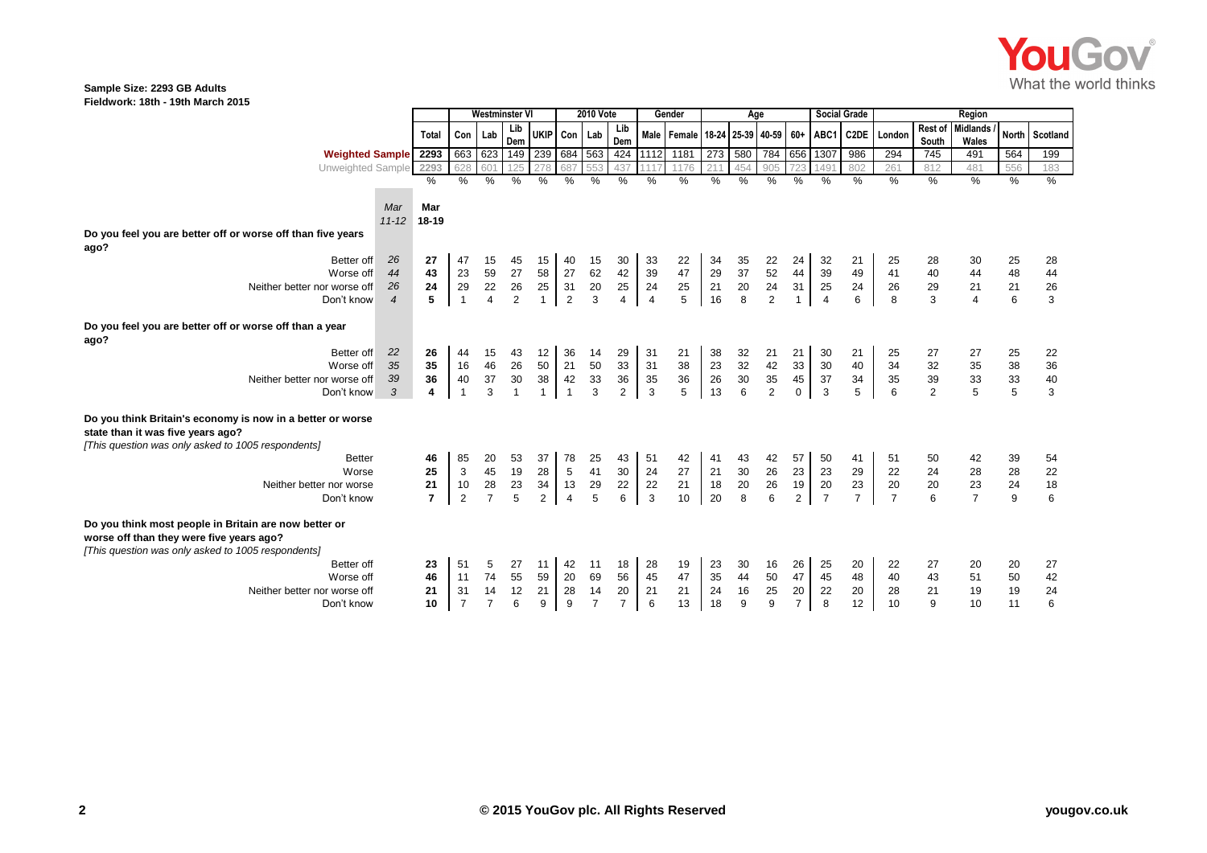

## **Sample Size: 2293 GB Adults Fieldwork: 18th - 19th March 2015**

|                                                                                                 |                          |                | <b>Westminster VI</b> |                | 2010 Vote       |              |                 |                | Gender         | Age             |                                             |                 |                                        |                                              | <b>Social Grade</b> | Region         |                |                |                |                           |                |                                        |
|-------------------------------------------------------------------------------------------------|--------------------------|----------------|-----------------------|----------------|-----------------|--------------|-----------------|----------------|----------------|-----------------|---------------------------------------------|-----------------|----------------------------------------|----------------------------------------------|---------------------|----------------|----------------|----------------|----------------|---------------------------|----------------|----------------------------------------|
|                                                                                                 |                          | <b>Total</b>   | Con Lab               |                | Lib<br>Dem      |              | UKIP Con Lab    |                | Lib<br>Dem     |                 | Male   Female   18-24   25-39   40-59   60+ |                 |                                        |                                              |                     | ABC1           | C2DE           | London         | South          | Rest of Midlands<br>Wales | <b>North</b>   | Scotland                               |
| <b>Weighted Sample</b>                                                                          |                          | 2293           |                       | 663 623        | 149 239 684 563 |              |                 |                |                | 424 1112        | 1181                                        | 273             | 580                                    | 784                                          | 656                 | 1307           | 986            | 294            | 745            | 491                       | 564            | 199                                    |
| Unweighted Sample                                                                               |                          | 2293           | 628                   | 601            | 125             | 278          | 687             |                | 437            |                 | 1176                                        | 211             |                                        | 905                                          | 723                 | 1491           | 802            | 261            | 812            | 481                       | 556            | 183                                    |
|                                                                                                 |                          | $\frac{0}{0}$  | %                     | $\%$           | $\%$            | %            | %               | %              | %              | $\frac{0}{0}$   | $\%$                                        | $\frac{9}{6}$   | %                                      | %                                            | %                   | %              | $\%$           | %              | %              | $\%$                      | $\%$           | %                                      |
|                                                                                                 |                          |                |                       |                |                 |              |                 |                |                |                 |                                             |                 |                                        |                                              |                     |                |                |                |                |                           |                |                                        |
|                                                                                                 | Mar                      | Mar            |                       |                |                 |              |                 |                |                |                 |                                             |                 |                                        |                                              |                     |                |                |                |                |                           |                |                                        |
|                                                                                                 | $11 - 12$                | 18-19          |                       |                |                 |              |                 |                |                |                 |                                             |                 |                                        |                                              |                     |                |                |                |                |                           |                |                                        |
| Do you feel you are better off or worse off than five years                                     |                          |                |                       |                |                 |              |                 |                |                |                 |                                             |                 |                                        |                                              |                     |                |                |                |                |                           |                |                                        |
| ago?                                                                                            |                          |                |                       |                |                 |              |                 |                |                |                 |                                             |                 |                                        |                                              |                     |                |                |                |                |                           |                |                                        |
| Better off                                                                                      | 26                       | 27             | 47                    | 15             | 45              | 15           | 40              | 15             | 30             | 33              | 22                                          | 34              | 35                                     | 22                                           | 24                  | 32             | 21             | 25             | 28             | 30                        | 25             | 28                                     |
| Worse off                                                                                       | 44                       | 43             | 23                    | 59             | 27              | 58           | 27              | 62             | 42             | 39              | 47                                          | 29              | 37                                     | 52                                           | 44                  | 39             | 49             | 41             | 40             | 44                        | 48             | 44                                     |
| Neither better nor worse off                                                                    | 26                       | 24             | 29                    | 22             | $26\,$          | 25           | 31              | 20             | $25\,$         | 24              | 25                                          | 21              | $20\,$                                 | $24\,$                                       | 31                  | 25             | 24             | 26             | 29             | 21                        | 21             | $\frac{26}{3}$                         |
| Don't know                                                                                      | $\overline{\mathcal{A}}$ | 5              | $\overline{1}$        | $\overline{4}$ | 2               | $\mathbf{1}$ | $\overline{2}$  | 3              | $\overline{4}$ | $\overline{4}$  | 5                                           | 16              | $\overline{8}$                         | $\overline{2}$                               |                     | $\overline{4}$ | 6              | 8              | 3              | $\overline{4}$            | 6              |                                        |
| Do you feel you are better off or worse off than a year<br>ago?                                 |                          |                |                       |                |                 |              |                 |                |                |                 |                                             |                 |                                        |                                              |                     |                |                |                |                |                           |                |                                        |
| Better off                                                                                      | 22                       | 26             | 44                    | 15             | 43              | 12           | 36              | 14             | 29             | 31              | 21                                          | 38              | 32                                     | 21                                           | 21                  | 30             | 21             | 25             | 27             | 27                        | 25             | 22                                     |
| Worse off                                                                                       | 35                       | 35             | 16                    | 46             | 26              | 50           | 21              | 50             | 33             | 31              | 38                                          | $23\,$          | 32                                     |                                              | 33                  | 30             | 40             | 34             | 32             | 35                        | 38             | 36                                     |
| Neither better nor worse off                                                                    | 39                       | 36             | 40                    | 37             | $30\,$          | 38           | 42              | $33\,$         | $36\,$         |                 |                                             |                 |                                        |                                              | 45                  | 37             | 34             | 35             | 39             |                           |                |                                        |
| Don't know                                                                                      | 3                        | 4              | $\overline{1}$        | 3              |                 | $\mathbf{1}$ | $\overline{1}$  | 3              | $\overline{2}$ | $\frac{35}{3}$  | $\frac{36}{5}$                              | $\frac{26}{13}$ | $\begin{array}{c} 30 \\ 6 \end{array}$ | $\begin{array}{c} 42 \\ 35 \\ 2 \end{array}$ | $\mathbf 0$         | $\mathbf{3}$   | 5              | $6\phantom{a}$ | $\overline{2}$ | $\frac{33}{5}$            | $\frac{33}{5}$ | $\frac{40}{3}$                         |
|                                                                                                 |                          |                |                       |                |                 |              |                 |                |                |                 |                                             |                 |                                        |                                              |                     |                |                |                |                |                           |                |                                        |
| Do you think Britain's economy is now in a better or worse<br>state than it was five years ago? |                          |                |                       |                |                 |              |                 |                |                |                 |                                             |                 |                                        |                                              |                     |                |                |                |                |                           |                |                                        |
| [This question was only asked to 1005 respondents]                                              |                          |                |                       |                |                 |              |                 |                |                |                 |                                             |                 |                                        |                                              |                     |                |                |                |                |                           |                |                                        |
| <b>Better</b>                                                                                   |                          | 46             | 85                    | 20             | 53              | 37           | 78              | 25             | 43             | 51              | 42                                          | 41              | 43                                     | 42                                           | 57                  | 50             | 41             | 51             | 50             | 42                        | 39             | 54                                     |
| Worse                                                                                           |                          | 25             | $\mathbf{3}$          | 45             | 19              | 28           | $5\phantom{.0}$ | 41             | $30\,$         | 24              | 27                                          | $21$            | $30\,$                                 | 26                                           | 23                  | 23             | 29             | 22             | 24             | 28                        | 28             | 22                                     |
| Neither better nor worse                                                                        |                          | 21             | 10                    | 28             | 23              | 34           | 13              | 29             | $22\,$         | $\frac{22}{3}$  | 21                                          | 18              | 20                                     | 26                                           | $19$                | 20             | 23             | 20             | 20             | 23                        | 24             | $\begin{array}{c} 18 \\ 6 \end{array}$ |
| Don't know                                                                                      |                          | $\overline{7}$ | $\overline{2}$        | $\overline{7}$ | 5               | 2            | $\overline{4}$  | 5              | 6              |                 | 10                                          | 20              | 8                                      | 6                                            | $\overline{2}$      | $\overline{7}$ | $\overline{7}$ | $\overline{7}$ | 6              | $\overline{7}$            | $\overline{9}$ |                                        |
| Do you think most people in Britain are now better or                                           |                          |                |                       |                |                 |              |                 |                |                |                 |                                             |                 |                                        |                                              |                     |                |                |                |                |                           |                |                                        |
| worse off than they were five years ago?<br>[This question was only asked to 1005 respondents]  |                          |                |                       |                |                 |              |                 |                |                |                 |                                             |                 |                                        |                                              |                     |                |                |                |                |                           |                |                                        |
| Better off                                                                                      |                          | 23             | 51                    | 5              | 27              | 11           | 42              | 11             | 18             | 28              | 19                                          | 23              | 30                                     | 16                                           | 26                  | 25             | 20             | 22             | 27             | 20                        | 20             | 27                                     |
| Worse off                                                                                       |                          | 46             | 11                    | 74             | 55              | 59           | 20              | 69             | 56             | 45              | 47                                          | 35              | 44                                     | 50                                           | 47                  | 45             | 48             | 40             | 43             | 51                        | 50             | 42                                     |
| Neither better nor worse off                                                                    |                          | 21             | 31                    | 14             | 12              | 21           | 28              | 14             | 20             | 21              | 21                                          | 24              | 16                                     | 25                                           | 20                  | 22             | 20             | 28             | 21             | 19                        | 19             | 24                                     |
| Don't know                                                                                      |                          | 10             | $\overline{7}$        | $\overline{7}$ | 6               | 9            | 9               | $\overline{7}$ | $\overline{7}$ | $6\phantom{1}6$ | 13                                          | 18              | 9                                      | 9                                            | $\overline{7}$      | 8              | 12             | 10             | 9              | 10                        | 11             | 6                                      |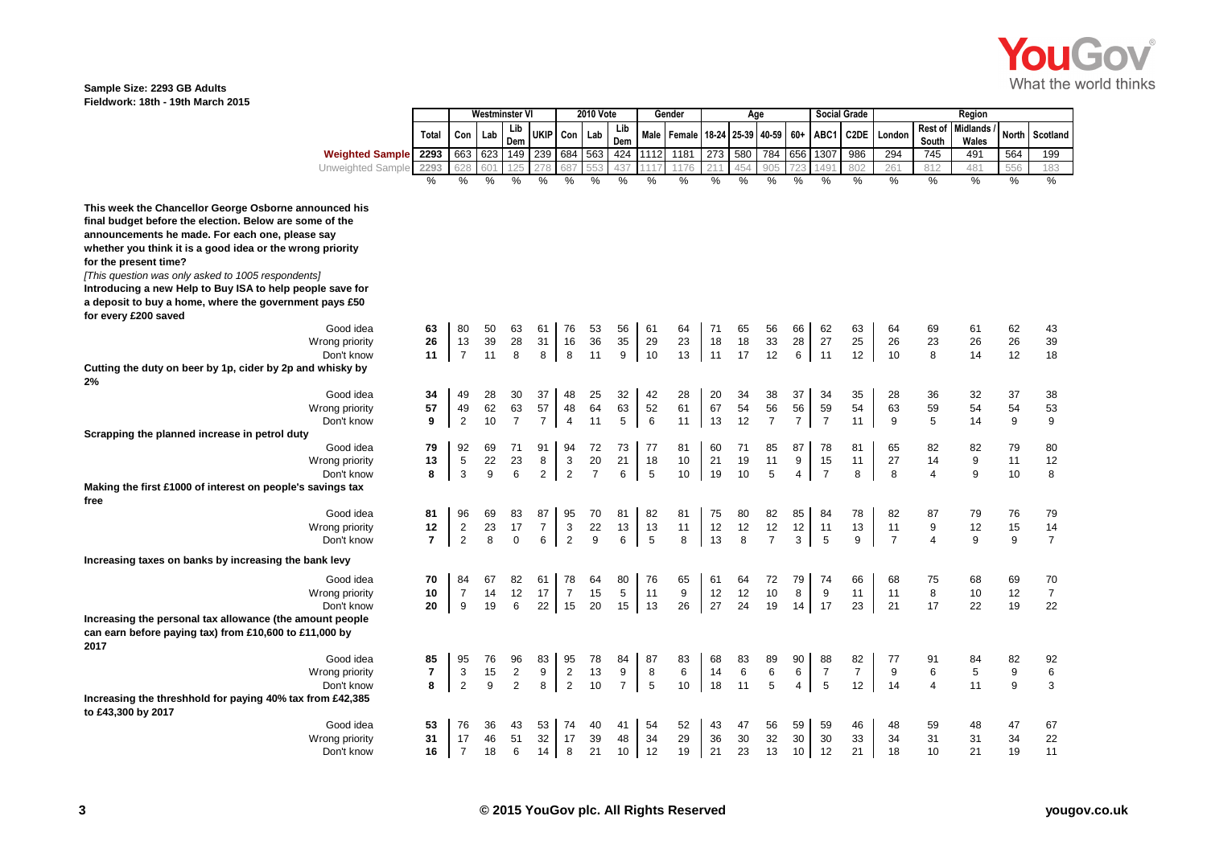

## **Sample Size: 2293 GB Adults Fieldwork: 18th - 19th March 2015**

|                                                                                                                                                                                                                                                                                                                                                                              |                |                | Westminster Vl |                         |                      |                      | <b>2010 Vote</b> |                |            | Gender |          | Age      |                      |                      |                      | <b>Social Grade</b> |                |                  | Region                   |       |                |
|------------------------------------------------------------------------------------------------------------------------------------------------------------------------------------------------------------------------------------------------------------------------------------------------------------------------------------------------------------------------------|----------------|----------------|----------------|-------------------------|----------------------|----------------------|------------------|----------------|------------|--------|----------|----------|----------------------|----------------------|----------------------|---------------------|----------------|------------------|--------------------------|-------|----------------|
|                                                                                                                                                                                                                                                                                                                                                                              | Total          | Con            | Lab            | Lib<br>Dem              | <b>UKIP</b>          | Con                  | Lab              | Lib<br>Dem     | Male       | Female | 18-24    |          | 25-39 40-59          | 60+                  | ABC1                 | C2DE                | London         | Rest of<br>South | <b>Midlands</b><br>Wales | North | Scotland       |
| <b>Weighted Sample</b>                                                                                                                                                                                                                                                                                                                                                       | 2293           | 663            | 623            | 149                     | 239                  | 684 563              |                  |                | 424 1112   | 1181   | 273      | 580      | 784                  |                      | 656 1307             | 986                 | 294            | 745              | 491                      | 564   | 199            |
| Unweighted Sample                                                                                                                                                                                                                                                                                                                                                            | 2293           |                |                |                         |                      |                      |                  | 437            |            | 1176   |          | 454      | 905                  |                      | 49'                  | 802                 | 261            | 812              | 481                      | 556   | 183            |
|                                                                                                                                                                                                                                                                                                                                                                              | $\%$           | $\%$           | %              | %                       | %                    | $\%$                 | $\%$             | $\frac{0}{0}$  | %          | $\%$   | $\%$     | %        | %                    | %                    | %                    | $\%$                | %              | $\%$             | $\%$                     | %     | $\%$           |
| This week the Chancellor George Osborne announced his<br>final budget before the election. Below are some of the<br>announcements he made. For each one, please say<br>whether you think it is a good idea or the wrong priority<br>for the present time?<br>[This question was only asked to 1005 respondents]<br>Introducing a new Help to Buy ISA to help people save for |                |                |                |                         |                      |                      |                  |                |            |        |          |          |                      |                      |                      |                     |                |                  |                          |       |                |
| a deposit to buy a home, where the government pays £50                                                                                                                                                                                                                                                                                                                       |                |                |                |                         |                      |                      |                  |                |            |        |          |          |                      |                      |                      |                     |                |                  |                          |       |                |
| for every £200 saved                                                                                                                                                                                                                                                                                                                                                         |                |                |                |                         |                      |                      |                  |                |            |        |          |          |                      |                      |                      |                     |                |                  |                          |       |                |
| Good idea                                                                                                                                                                                                                                                                                                                                                                    | 63             | 80             | 50             | 63                      | 61                   | 76                   | 53               | 56             | 61         | 64     | 71       | 65       | 56                   | 66                   | 62                   | 63                  | 64             | 69               | 61                       | 62    | 43             |
| Wrong priority                                                                                                                                                                                                                                                                                                                                                               | 26             | 13             | 39             | 28                      | 31                   | 16                   | 36               | 35             | 29         | 23     | 18       | 18       | 33                   | 28                   | 27                   | 25                  | 26             | 23               | 26                       | 26    | 39             |
| Don't know                                                                                                                                                                                                                                                                                                                                                                   | 11             | $\overline{7}$ | 11             | 8                       | 8                    | 8                    | 11               | 9              | 10         | 13     | 11       | 17       | 12                   | 6                    | 11                   | 12                  | 10             | 8                | 14                       | 12    | 18             |
| Cutting the duty on beer by 1p, cider by 2p and whisky by                                                                                                                                                                                                                                                                                                                    |                |                |                |                         |                      |                      |                  |                |            |        |          |          |                      |                      |                      |                     |                |                  |                          |       |                |
| 2%                                                                                                                                                                                                                                                                                                                                                                           |                |                |                |                         |                      |                      |                  |                |            |        |          |          |                      |                      |                      |                     |                |                  |                          |       |                |
| Good idea                                                                                                                                                                                                                                                                                                                                                                    | 34             | 49             | 28             | 30                      | 37                   | 48                   | 25               | 32             | 42         | 28     | 20       | 34       | 38                   | 37                   | 34                   | 35                  | 28             | 36               | 32                       | 37    | 38             |
| Wrong priority                                                                                                                                                                                                                                                                                                                                                               | 57<br>9        | 49             | 62<br>10       | 63<br>$\overline{7}$    | 57<br>$\overline{7}$ | 48<br>$\overline{4}$ | 64<br>11         | 63             | 52<br>6    | 61     | 67<br>13 | 54<br>12 | 56<br>$\overline{7}$ | 56<br>$\overline{7}$ | 59<br>$\overline{7}$ | 54                  | 63             | 59               | 54                       | 54    | 53             |
| Don't know                                                                                                                                                                                                                                                                                                                                                                   |                | $\overline{2}$ |                |                         |                      |                      |                  | 5              |            | 11     |          |          |                      |                      |                      | 11                  | 9              | 5                | 14                       | 9     | 9              |
| Scrapping the planned increase in petrol duty<br>Good idea                                                                                                                                                                                                                                                                                                                   | 79             | 92             | 69             | 71                      | 91                   | 94                   | 72               | 73             | 77         | 81     | 60       | 71       | 85                   | 87                   | 78                   | 81                  | 65             | 82               | 82                       | 79    | 80             |
| Wrong priority                                                                                                                                                                                                                                                                                                                                                               | 13             | 5              | 22             | 23                      | 8                    | 3                    | 20               | 21             | 18         | 10     | 21       | 19       | 11                   | 9                    | 15                   | 11                  | 27             | 14               | 9                        | 11    | 12             |
| Don't know                                                                                                                                                                                                                                                                                                                                                                   | 8              | 3              | 9              | 6                       | $\overline{2}$       | $\overline{2}$       | $\overline{7}$   | 6              | $\sqrt{5}$ | 10     | 19       | 10       | 5                    | 4                    | $\overline{7}$       | 8                   | 8              | 4                | 9                        | 10    | 8              |
| Making the first £1000 of interest on people's savings tax                                                                                                                                                                                                                                                                                                                   |                |                |                |                         |                      |                      |                  |                |            |        |          |          |                      |                      |                      |                     |                |                  |                          |       |                |
| free                                                                                                                                                                                                                                                                                                                                                                         |                |                |                |                         |                      |                      |                  |                |            |        |          |          |                      |                      |                      |                     |                |                  |                          |       |                |
| Good idea                                                                                                                                                                                                                                                                                                                                                                    | 81             | 96             | 69             | 83                      | 87                   | 95                   | 70               | 81             | 82         | 81     | 75       | 80       | 82                   | 85                   | 84                   | 78                  | 82             | 87               | 79                       | 76    | 79             |
| Wrong priority                                                                                                                                                                                                                                                                                                                                                               | 12             | $\overline{2}$ | 23             | 17                      | $\overline{7}$       | 3                    | 22               | 13             | 13         | 11     | 12       | 12       | 12                   | 12                   | 11                   | 13                  | 11             | 9                | 12                       | 15    | 14             |
| Don't know                                                                                                                                                                                                                                                                                                                                                                   | $\overline{7}$ | 2              | 8              | $\mathbf 0$             | 6                    | $\overline{2}$       | 9                | 6              | 5          | 8      | 13       | 8        | $\overline{7}$       | 3                    | $\overline{5}$       | 9                   | $\overline{7}$ | $\overline{4}$   | 9                        | 9     | $\overline{7}$ |
| Increasing taxes on banks by increasing the bank levy                                                                                                                                                                                                                                                                                                                        |                |                |                |                         |                      |                      |                  |                |            |        |          |          |                      |                      |                      |                     |                |                  |                          |       |                |
| Good idea                                                                                                                                                                                                                                                                                                                                                                    | 70             | 84             | 67             | 82                      | 61                   | 78                   | 64               | 80             | 76         | 65     | 61       | 64       | 72                   | 79                   | 74                   | 66                  | 68             | 75               | 68                       | 69    | 70             |
| Wrong priority                                                                                                                                                                                                                                                                                                                                                               | 10             | $\overline{7}$ | 14             | 12                      | 17                   | $\overline{7}$       | 15               | $\,$ 5 $\,$    | 11         | 9      | 12       | 12       | 10                   | 8                    | 9                    | 11                  | 11             | 8                | 10                       | 12    | $\overline{7}$ |
| Don't know                                                                                                                                                                                                                                                                                                                                                                   | 20             | 9              | 19             | 6                       | 22                   | 15                   | 20               | 15             | 13         | 26     | 27       | 24       | 19                   | 14                   | 17                   | 23                  | 21             | 17               | 22                       | 19    | 22             |
| Increasing the personal tax allowance (the amount people<br>can earn before paying tax) from £10,600 to £11,000 by<br>2017                                                                                                                                                                                                                                                   |                |                |                |                         |                      |                      |                  |                |            |        |          |          |                      |                      |                      |                     |                |                  |                          |       |                |
| Good idea                                                                                                                                                                                                                                                                                                                                                                    | 85             | 95             | 76             | 96                      | 83                   | 95                   | 78               | 84             | 87         | 83     | 68       | 83       | 89                   | 90                   | 88                   | 82                  | 77             | 91               | 84                       | 82    | 92             |
| Wrong priority                                                                                                                                                                                                                                                                                                                                                               | 7              | 3              | 15             | $\overline{\mathbf{c}}$ | 9                    | $\overline{c}$       | 13               | 9              | 8          | 6      | 14       | 6        | $\,6\,$              | 6                    | $\overline{7}$       | $\overline{7}$      | 9              | 6                | 5                        | 9     | 6              |
| Don't know                                                                                                                                                                                                                                                                                                                                                                   | 8              | $\overline{2}$ | 9              | $\overline{2}$          | 8                    | $\overline{2}$       | 10               | $\overline{7}$ | 5          | 10     | 18       | 11       | 5                    | $\overline{4}$       | 5                    | 12                  | 14             | 4                | 11                       | 9     | 3              |
| Increasing the threshhold for paying 40% tax from £42,385<br>to £43,300 by 2017                                                                                                                                                                                                                                                                                              |                |                |                |                         |                      |                      |                  |                |            |        |          |          |                      |                      |                      |                     |                |                  |                          |       |                |
| Good idea                                                                                                                                                                                                                                                                                                                                                                    | 53             | 76             | 36             | 43                      | 53                   | 74                   | 40               | 41             | 54         | 52     | 43       | 47       | 56                   | 59                   | 59                   | 46                  | 48             | 59               | 48                       | 47    | 67             |
| Wrong priority                                                                                                                                                                                                                                                                                                                                                               | 31             | 17             | 46             | 51                      | 32                   | 17                   | 39               | 48             | 34         | 29     | 36       | 30       | 32                   | 30                   | 30                   | 33                  | 34             | 31               | 31                       | 34    | 22             |
| Don't know                                                                                                                                                                                                                                                                                                                                                                   | 16             | $\overline{7}$ | 18             | 6                       | 14                   | 8                    | 21               | 10             | 12         | 19     | 21       | 23       | 13                   | 10                   | 12                   | 21                  | 18             | 10               | 21                       | 19    | 11             |